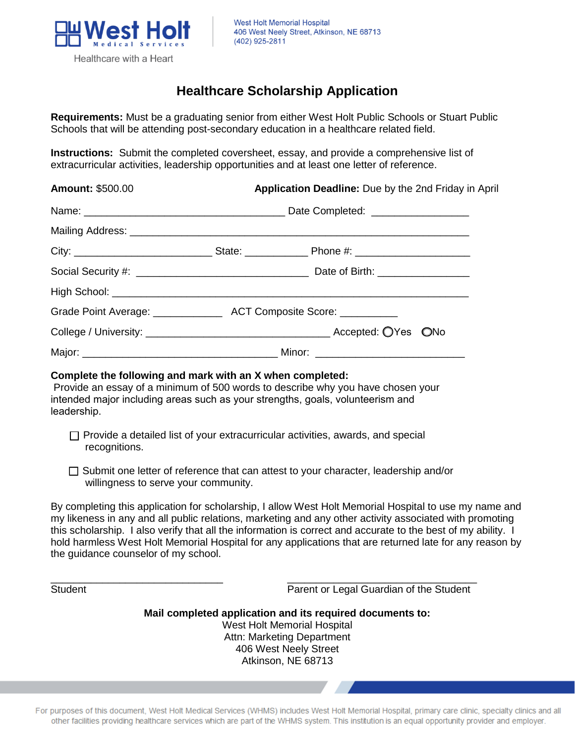

## **Healthcare Scholarship Application**

**Requirements:** Must be a graduating senior from either West Holt Public Schools or Stuart Public Schools that will be attending post-secondary education in a healthcare related field.

**Instructions:** Submit the completed coversheet, essay, and provide a comprehensive list of extracurricular activities, leadership opportunities and at least one letter of reference.

| <b>Amount: \$500.00</b> |  | Application Deadline: Due by the 2nd Friday in April |  |
|-------------------------|--|------------------------------------------------------|--|
|                         |  |                                                      |  |
|                         |  |                                                      |  |
|                         |  |                                                      |  |
|                         |  |                                                      |  |
|                         |  |                                                      |  |
|                         |  |                                                      |  |
|                         |  |                                                      |  |
|                         |  |                                                      |  |

## **Complete the following and mark with an X when completed:**

Provide an essay of a minimum of 500 words to describe why you have chosen your intended major including areas such as your strengths, goals, volunteerism and leadership.

- $\Box$  Provide a detailed list of your extracurricular activities, awards, and special recognitions.
- $\Box$  Submit one letter of reference that can attest to your character, leadership and/or willingness to serve your community.

\_\_\_\_\_\_\_\_\_\_\_\_\_\_\_\_\_\_\_\_\_\_\_\_\_\_\_\_\_\_ \_\_\_\_\_\_\_\_\_\_\_\_\_\_\_\_\_\_\_\_\_\_\_\_\_\_\_\_\_\_\_\_\_

By completing this application for scholarship, I allow West Holt Memorial Hospital to use my name and my likeness in any and all public relations, marketing and any other activity associated with promoting this scholarship. I also verify that all the information is correct and accurate to the best of my ability. I hold harmless West Holt Memorial Hospital for any applications that are returned late for any reason by the guidance counselor of my school.

Student **Parent or Legal Guardian of the Student** 

**Mail completed application and its required documents to:**  West Holt Memorial Hospital Attn: Marketing Department 406 West Neely Street Atkinson, NE 68713

For purposes of this document, West Holt Medical Services (WHMS) includes West Holt Memorial Hospital, primary care clinic, specialty clinics and all other facilities providing healthcare services which are part of the WHMS system. This institution is an equal opportunity provider and employer.